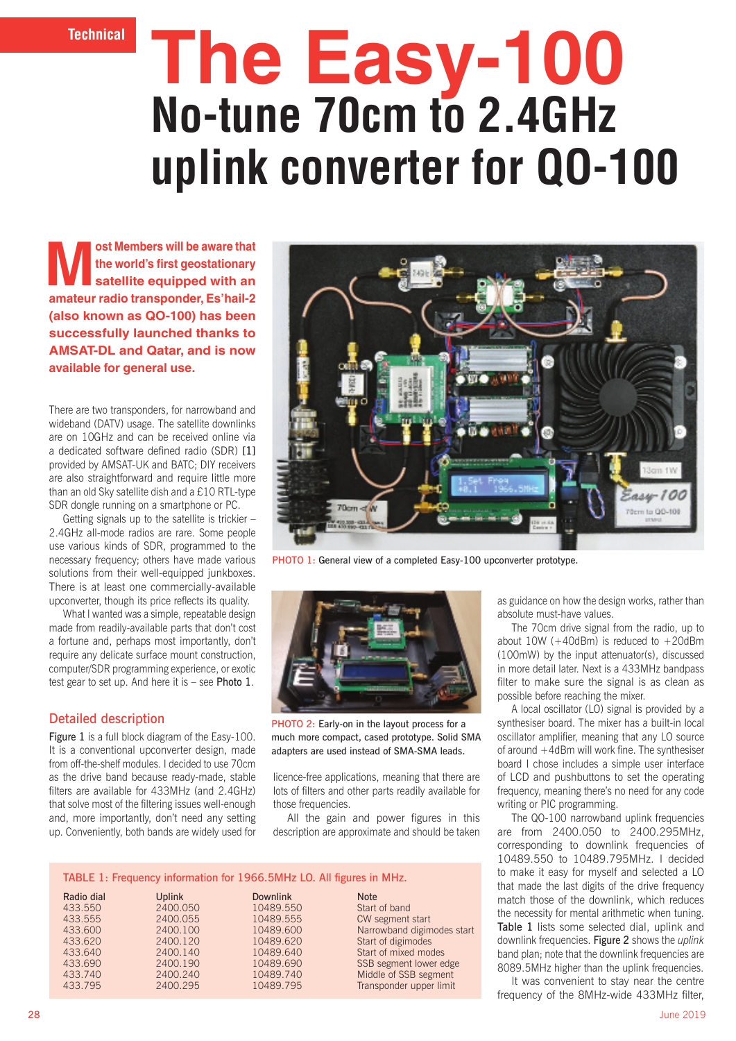**Technical**

# **The Easy-100 No-tune 70cm to 2.4GHz uplink converter for QO-100**

**Most Members will be aware that<br>
the world's first geostationary<br>
satellite equipped with an<br>
modes weaks Felhold O the world's first geostationary satellite equipped with an amateur radio transponder, Es'hail-2 (also known as QO-100) has been successfully launched thanks to AMSAT-DL and Qatar, and is now available for general use.** 

There are two transponders, for narrowband and wideband (DATV) usage. The satellite downlinks are on 10GHz and can be received online via a dedicated software defined radio (SDR) [1] provided by AMSAT-UK and BATC; DIY receivers are also straightforward and require little more than an old Sky satellite dish and a £10 RTL-type SDR dongle running on a smartphone or PC.

Getting signals up to the satellite is trickier – 2.4GHz all-mode radios are rare. Some people use various kinds of SDR, programmed to the necessary frequency; others have made various solutions from their well-equipped junkboxes. There is at least one commercially-available upconverter, though its price reflects its quality.

What I wanted was a simple, repeatable design made from readily-available parts that don't cost a fortune and, perhaps most importantly, don't require any delicate surface mount construction, computer/SDR programming experience, or exotic test gear to set up. And here it is – see Photo 1.

## Detailed description

Figure 1 is a full block diagram of the Easy-100. It is a conventional upconverter design, made from off-the-shelf modules. I decided to use 70cm as the drive band because ready-made, stable filters are available for 433MHz (and 2.4GHz) that solve most of the filtering issues well-enough and, more importantly, don't need any setting up. Conveniently, both bands are widely used for



PHOTO 1: General view of a completed Easy-100 upconverter prototype.



PHOTO 2: Early-on in the layout process for a much more compact, cased prototype. Solid SMA adapters are used instead of SMA-SMA leads.

licence-free applications, meaning that there are lots of filters and other parts readily available for those frequencies.

All the gain and power figures in this description are approximate and should be taken

#### TABLE 1: Frequency information for 1966.5MHz LO. All figures in MHz.

| Radio dial | <b>Uplink</b> | <b>Downlink</b> | <b>Note</b>                |
|------------|---------------|-----------------|----------------------------|
| 433.550    | 2400.050      | 10489.550       | Start of band              |
| 433.555    | 2400.055      | 10489.555       | CW segment start           |
| 433,600    | 2400.100      | 10489.600       | Narrowband digimodes start |
| 433.620    | 2400.120      | 10489.620       | Start of digimodes         |
| 433.640    | 2400.140      | 10489.640       | Start of mixed modes       |
| 433.690    | 2400.190      | 10489.690       | SSB segment lower edge     |
| 433.740    | 2400.240      | 10489.740       | Middle of SSB segment      |
| 433.795    | 2400.295      | 10489.795       | Transponder upper limit    |
|            |               |                 |                            |

as guidance on how the design works, rather than absolute must-have values.

The 70cm drive signal from the radio, up to about  $10W$  (+40dBm) is reduced to  $+20$ dBm (100mW) by the input attenuator(s), discussed in more detail later. Next is a 433MHz bandpass filter to make sure the signal is as clean as possible before reaching the mixer.

A local oscillator (LO) signal is provided by a synthesiser board. The mixer has a built-in local oscillator amplifier, meaning that any LO source of around +4dBm will work fine. The synthesiser board I chose includes a simple user interface of LCD and pushbuttons to set the operating frequency, meaning there's no need for any code writing or PIC programming.

The QO-100 narrowband uplink frequencies are from 2400.050 to 2400.295MHz, corresponding to downlink frequencies of 10489.550 to 10489.795MHz. I decided to make it easy for myself and selected a LO that made the last digits of the drive frequency match those of the downlink, which reduces the necessity for mental arithmetic when tuning. Table 1 lists some selected dial, uplink and downlink frequencies. Figure 2 shows the *uplink* band plan; note that the downlink frequencies are 8089.5MHz higher than the uplink frequencies.

It was convenient to stay near the centre frequency of the 8MHz-wide 433MHz filter,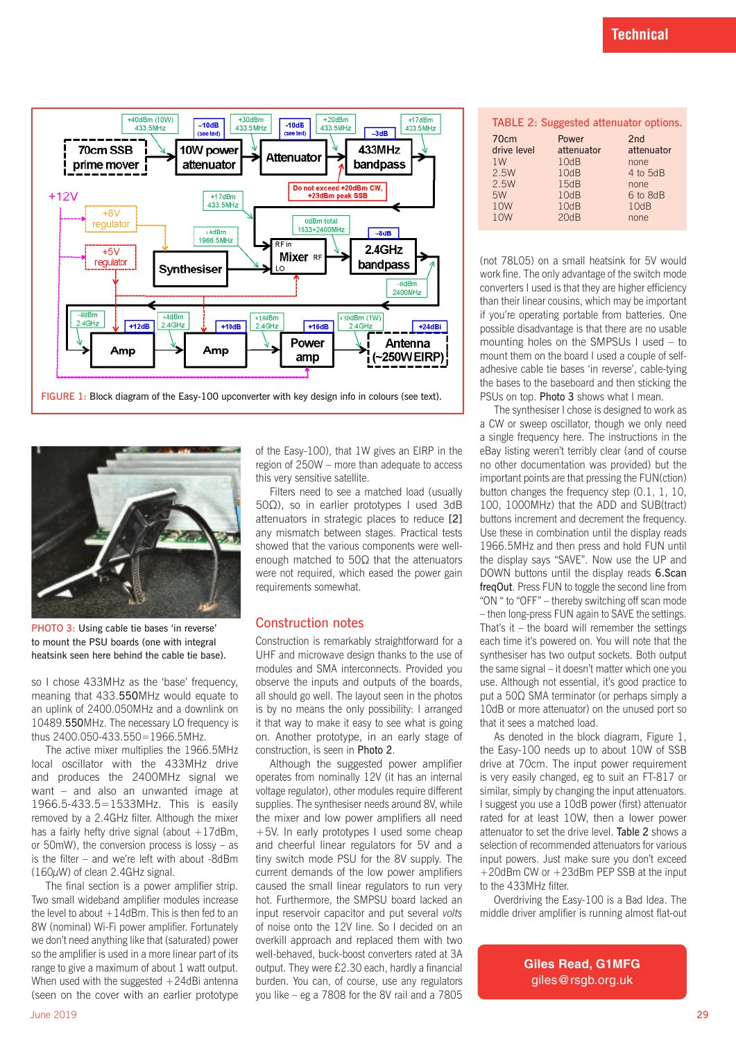



PHOTO 3: Using cable tie bases 'in reverse' to mount the PSU boards (one with integral heatsink seen here behind the cable tie base).

so I chose 433MHz as the 'base' frequency, meaning that 433.550MHz would equate to an uplink of 2400.050MHz and a downlink on 10489.550MHz. The necessary LO frequency is thus 2400.050-433.550=1966.5MHz.

The active mixer multiplies the 1966.5MHz local oscillator with the 433MHz drive and produces the 2400MHz signal we want – and also an unwanted image at 1966.5-433.5=1533MHz. This is easily removed by a 2.4GHz filter. Although the mixer has a fairly hefty drive signal (about  $+17$ dBm, or 50mW), the conversion process is lossy – as is the filter – and we're left with about -8dBm (160µW) of clean 2.4GHz signal.

The final section is a power amplifier strip. Two small wideband amplifier modules increase the level to about  $+14$ dBm. This is then fed to an 8W (nominal) Wi-Fi power amplifier. Fortunately we don't need anything like that (saturated) power so the amplifier is used in a more linear part of its range to give a maximum of about 1 watt output. When used with the suggested  $+24dBi$  antenna (seen on the cover with an earlier prototype

of the Easy-100), that 1W gives an EIRP in the region of 250W – more than adequate to access this very sensitive satellite.

Filters need to see a matched load (usually 50Ω), so in earlier prototypes I used 3dB attenuators in strategic places to reduce [2] any mismatch between stages. Practical tests showed that the various components were wellenough matched to 50Ω that the attenuators were not required, which eased the power gain requirements somewhat.

#### Construction notes

Construction is remarkably straightforward for a UHF and microwave design thanks to the use of modules and SMA interconnects. Provided you observe the inputs and outputs of the boards, all should go well. The layout seen in the photos is by no means the only possibility: I arranged it that way to make it easy to see what is going on. Another prototype, in an early stage of construction, is seen in Photo 2.

Although the suggested power amplifier operates from nominally 12V (it has an internal voltage regulator), other modules require different supplies. The synthesiser needs around 8V, while the mixer and low power amplifiers all need +5V. In early prototypes I used some cheap and cheerful linear regulators for 5V and a tiny switch mode PSU for the 8V supply. The current demands of the low power amplifiers caused the small linear regulators to run very hot. Furthermore, the SMPSU board lacked an input reservoir capacitor and put several *volts* of noise onto the 12V line. So I decided on an overkill approach and replaced them with two well-behaved, buck-boost converters rated at 3A output. They were £2.30 each, hardly a financial burden. You can, of course, use any regulators you like – eg a 7808 for the 8V rail and a 7805

| TABLE 2: Suggested attenuator options. |                     |                   |  |  |
|----------------------------------------|---------------------|-------------------|--|--|
| 70cm<br>drive level                    | Power<br>attenuator | 2nd<br>attenuator |  |  |
| 1W                                     | 10dB                | none              |  |  |
| 2.5W                                   | 10dB                | 4 to 5dB          |  |  |
| 2.5W                                   | 15dB                | none              |  |  |
| 5W                                     | 10dB                | 6 to 8dB          |  |  |
| 10W                                    | 10dB                | 10dB              |  |  |
| 10W                                    | 20dB                | none              |  |  |
|                                        |                     |                   |  |  |

(not 78L05) on a small heatsink for 5V would work fine. The only advantage of the switch mode converters I used is that they are higher efficiency than their linear cousins, which may be important if you're operating portable from batteries. One possible disadvantage is that there are no usable mounting holes on the SMPSUs I used – to mount them on the board I used a couple of selfadhesive cable tie bases 'in reverse', cable-tying the bases to the baseboard and then sticking the PSUs on top. Photo 3 shows what I mean.

The synthesiser I chose is designed to work as a CW or sweep oscillator, though we only need a single frequency here. The instructions in the eBay listing weren't terribly clear (and of course no other documentation was provided) but the important points are that pressing the FUN(ction) button changes the frequency step (0.1, 1, 10, 100, 1000MHz) that the ADD and SUB(tract) buttons increment and decrement the frequency. Use these in combination until the display reads 1966.5MHz and then press and hold FUN until the display says "SAVE". Now use the UP and DOWN buttons until the display reads 6.Scan freqOut. Press FUN to toggle the second line from "ON " to "OFF" – thereby switching off scan mode – then long-press FUN again to SAVE the settings. That's it – the board will remember the settings each time it's powered on. You will note that the synthesiser has two output sockets. Both output the same signal – it doesn't matter which one you use. Although not essential, it's good practice to put a 50Ω SMA terminator (or perhaps simply a 10dB or more attenuator) on the unused port so that it sees a matched load.

As denoted in the block diagram, Figure 1, the Easy-100 needs up to about 10W of SSB drive at 70cm. The input power requirement is very easily changed, eg to suit an FT-817 or similar, simply by changing the input attenuators. I suggest you use a 10dB power (first) attenuator rated for at least 10W, then a lower power attenuator to set the drive level. Table 2 shows a selection of recommended attenuators for various input powers. Just make sure you don't exceed +20dBm CW or +23dBm PEP SSB at the input to the 433MHz filter.

Overdriving the Easy-100 is a Bad Idea. The middle driver amplifier is running almost flat-out

> **Giles Read, G1MFG** giles@rsgb.org.uk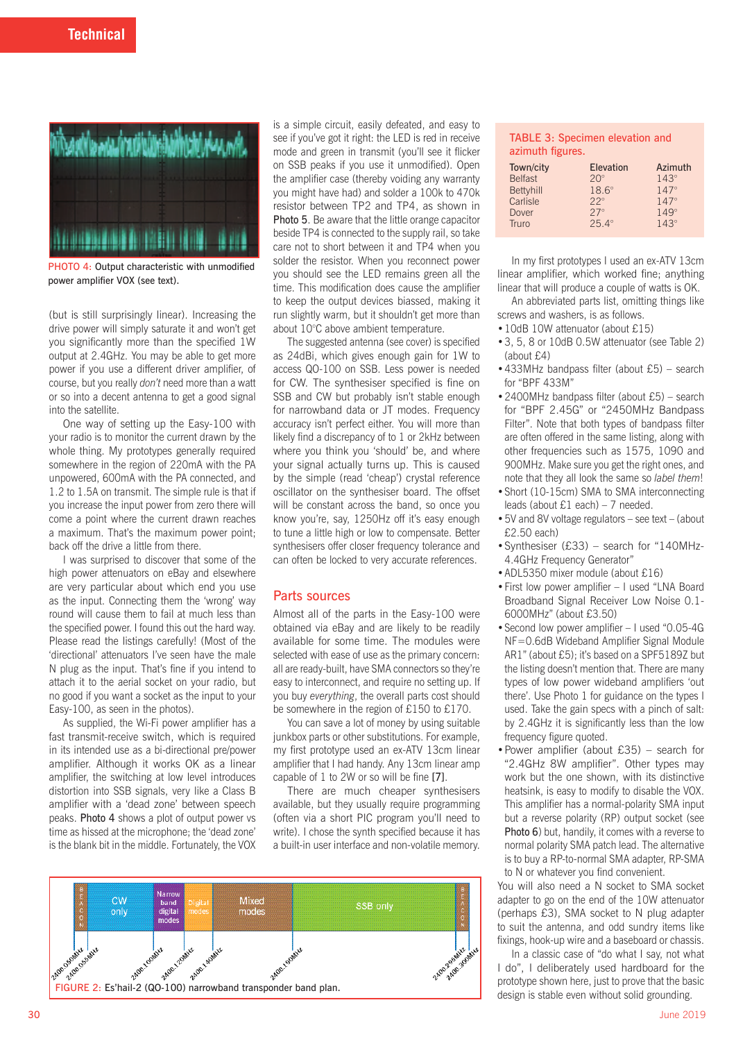

PHOTO 4: Output characteristic with unmodified power amplifier VOX (see text).

(but is still surprisingly linear). Increasing the drive power will simply saturate it and won't get you significantly more than the specified 1W output at 2.4GHz. You may be able to get more power if you use a different driver amplifier, of course, but you really *don't* need more than a watt or so into a decent antenna to get a good signal into the satellite.

One way of setting up the Easy-100 with your radio is to monitor the current drawn by the whole thing. My prototypes generally required somewhere in the region of 220mA with the PA unpowered, 600mA with the PA connected, and 1.2 to 1.5A on transmit. The simple rule is that if you increase the input power from zero there will come a point where the current drawn reaches a maximum. That's the maximum power point; back off the drive a little from there.

I was surprised to discover that some of the high power attenuators on eBay and elsewhere are very particular about which end you use as the input. Connecting them the 'wrong' way round will cause them to fail at much less than the specified power. I found this out the hard way. Please read the listings carefully! (Most of the 'directional' attenuators I've seen have the male N plug as the input. That's fine if you intend to attach it to the aerial socket on your radio, but no good if you want a socket as the input to your Easy-100, as seen in the photos).

As supplied, the Wi-Fi power amplifier has a fast transmit-receive switch, which is required in its intended use as a bi-directional pre/power amplifier. Although it works OK as a linear amplifier, the switching at low level introduces distortion into SSB signals, very like a Class B amplifier with a 'dead zone' between speech peaks. Photo 4 shows a plot of output power vs time as hissed at the microphone; the 'dead zone' is the blank bit in the middle. Fortunately, the VOX

is a simple circuit, easily defeated, and easy to see if you've got it right: the LED is red in receive mode and green in transmit (you'll see it flicker on SSB peaks if you use it unmodified). Open the amplifier case (thereby voiding any warranty you might have had) and solder a 100k to 470k resistor between TP2 and TP4, as shown in Photo 5. Be aware that the little orange capacitor beside TP4 is connected to the supply rail, so take care not to short between it and TP4 when you solder the resistor. When you reconnect power you should see the LED remains green all the time. This modification does cause the amplifier to keep the output devices biassed, making it run slightly warm, but it shouldn't get more than about 10°C above ambient temperature.

The suggested antenna (see cover) is specified as 24dBi, which gives enough gain for 1W to access QO-100 on SSB. Less power is needed for CW. The synthesiser specified is fine on SSB and CW but probably isn't stable enough for narrowband data or JT modes. Frequency accuracy isn't perfect either. You will more than likely find a discrepancy of to 1 or 2kHz between where you think you 'should' be, and where your signal actually turns up. This is caused by the simple (read 'cheap') crystal reference oscillator on the synthesiser board. The offset will be constant across the band, so once you know you're, say, 1250Hz off it's easy enough to tune a little high or low to compensate. Better synthesisers offer closer frequency tolerance and can often be locked to very accurate references.

#### Parts sources

Almost all of the parts in the Easy-100 were obtained via eBay and are likely to be readily available for some time. The modules were selected with ease of use as the primary concern: all are ready-built, have SMA connectors so they're easy to interconnect, and require no setting up. If you buy *everything*, the overall parts cost should be somewhere in the region of £150 to £170.

You can save a lot of money by using suitable junkbox parts or other substitutions. For example, my first prototype used an ex-ATV 13cm linear amplifier that I had handy. Any 13cm linear amp capable of 1 to 2W or so will be fine [7].

There are much cheaper synthesisers available, but they usually require programming (often via a short PIC program you'll need to write). I chose the synth specified because it has a built-in user interface and non-volatile memory.



## TABLE 3: Specimen elevation and azimuth figures.

| Town/city        | <b>Elevation</b> | Azimuth     |
|------------------|------------------|-------------|
| <b>Belfast</b>   | $20^\circ$       | $143^\circ$ |
| <b>Bettyhill</b> | $18.6^\circ$     | $147^\circ$ |
| Carlisle         | $22^{\circ}$     | $147^\circ$ |
| Dover            | $27^\circ$       | $149^\circ$ |
| Truro            | $25.4^\circ$     | $143^\circ$ |

In my first prototypes I used an ex-ATV 13cm linear amplifier, which worked fine; anything linear that will produce a couple of watts is OK.

An abbreviated parts list, omitting things like screws and washers, is as follows.

- 10dB 10W attenuator (about £15)
- •3, 5, 8 or 10dB 0.5W attenuator (see Table 2) (about £4)
- •433MHz bandpass filter (about £5) search for "BPF 433M"
- •2400MHz bandpass filter (about £5) search for "BPF 2.45G" or "2450MHz Bandpass Filter". Note that both types of bandpass filter are often offered in the same listing, along with other frequencies such as 1575, 1090 and 900MHz. Make sure you get the right ones, and note that they all look the same so *label them*!
- •Short (10-15cm) SMA to SMA interconnecting leads (about £1 each) – 7 needed.
- •5V and 8V voltage regulators see text (about £2.50 each)
- •Synthesiser (£33) search for "140MHz-4.4GHz Frequency Generator"
- •ADL5350 mixer module (about £16)
- •First low power amplifier I used "LNA Board Broadband Signal Receiver Low Noise 0.1- 6000MHz" (about £3.50)
- •Second low power amplifier I used "0.05-4G NF=0.6dB Wideband Amplifier Signal Module AR1" (about £5); it's based on a SPF5189Z but the listing doesn't mention that. There are many types of low power wideband amplifiers 'out there'. Use Photo 1 for guidance on the types I used. Take the gain specs with a pinch of salt: by 2.4GHz it is significantly less than the low frequency figure quoted.
- •Power amplifier (about £35) search for "2.4GHz 8W amplifier". Other types may work but the one shown, with its distinctive heatsink, is easy to modify to disable the VOX. This amplifier has a normal-polarity SMA input but a reverse polarity (RP) output socket (see Photo 6) but, handily, it comes with a reverse to normal polarity SMA patch lead. The alternative is to buy a RP-to-normal SMA adapter, RP-SMA to N or whatever you find convenient.

You will also need a N socket to SMA socket adapter to go on the end of the 10W attenuator (perhaps £3), SMA socket to N plug adapter to suit the antenna, and odd sundry items like fixings, hook-up wire and a baseboard or chassis.

In a classic case of "do what I say, not what I do", I deliberately used hardboard for the prototype shown here, just to prove that the basic design is stable even without solid grounding.